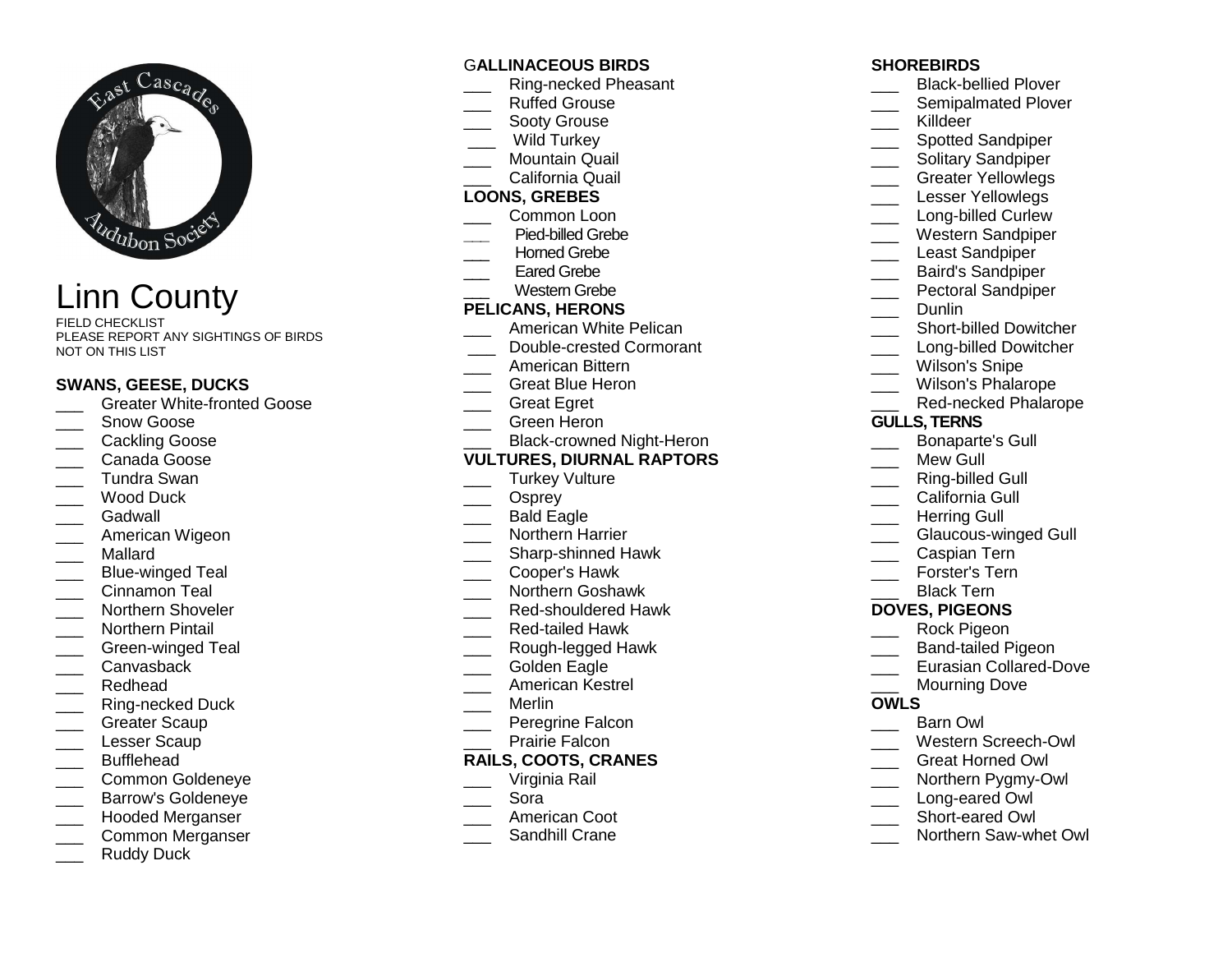

Linn County

FIELD CHECKLIST PLEASE REPORT ANY SIGHTINGS OF BIRDS NOT ON THIS LIST

#### **SWANS, GEESE, DUCKS**

- **LETT** Greater White-fronted Goose
- Snow Goose
- \_\_\_ Cackling Goose
- \_\_\_ Canada Goose
- \_\_\_ Tundra Swan
- \_\_\_ Wood Duck
- Gadwall
- \_\_\_ American Wigeon
- \_\_\_ Mallard
- \_\_\_ Blue-winged Teal
- \_\_\_ Cinnamon Teal
- \_\_\_\_ Northern Shoveler
- Northern Pintail
- \_\_\_ Green-winged Teal
- Canvasback
- \_\_\_ Redhead
- \_\_\_ Ring-necked Duck
- Greater Scaup
- Lesser Scaup
- \_\_\_ Bufflehead
- \_\_\_ Common Goldeneye
- \_\_\_ Barrow's Goldeneye
- \_\_\_ Hooded Merganser
- \_\_\_ Common Merganser
- Ruddy Duck

#### G**ALLINACEOUS BIRDS**

- \_\_\_ Ring-necked Pheasant
- \_\_\_ Ruffed Grouse
- Sooty Grouse
- \_\_\_ Wild Turkey
- \_\_\_ Mountain Quail
- \_\_\_ California Quail

#### **LOONS, GREBES**

- \_\_\_ Common Loon
- **\_\_\_** Pied-billed Grebe
- Horned Grebe
- Eared Grebe
- \_\_\_ Western Grebe

# **PELICANS, HERONS**

- \_\_\_ American White Pelican
- \_\_\_ Double-crested Cormorant
- \_\_\_ American Bittern
- \_\_\_ Great Blue Heron
- \_\_\_ Great Egret
- \_\_\_ Green Heron
- \_\_\_ Black-crowned Night-Heron

#### **VULTURES, DIURNAL RAPTORS**

- Turkey Vulture
- \_\_\_ Osprey
- \_\_\_ Bald Eagle
- \_\_\_ Northern Harrier
- \_\_\_\_ Sharp-shinned Hawk
- \_\_\_ Cooper's Hawk
- \_\_\_ Northern Goshawk
- \_\_\_ Red-shouldered Hawk
- \_\_\_ Red-tailed Hawk
- \_\_\_ Rough-legged Hawk
- Golden Eagle
- \_\_\_ American Kestrel
- \_\_\_ Merlin
- \_\_\_ Peregrine Falcon
- Prairie Falcon

#### **RAILS, COOTS, CRANES**

- \_\_\_ Virginia Rail
- \_\_\_ Sora
- \_\_\_ American Coot
- \_\_\_ Sandhill Crane

#### **SHOREBIRDS**

- \_\_\_\_ Black-bellied Plover
- \_\_\_\_ Semipalmated Plover
- \_\_\_ Killdeer
- \_\_\_\_ Spotted Sandpiper
- \_\_\_ Solitary Sandpiper
- \_\_\_ Greater Yellowlegs
- Lesser Yellowlegs
- \_\_\_\_ Long-billed Curlew
- \_\_\_ Western Sandpiper
- \_\_\_ Least Sandpiper
- \_\_\_ Baird's Sandpiper
- \_\_\_ Pectoral Sandpiper
	- Dunlin
		-
- \_\_\_\_ Short-billed Dowitcher
- \_\_\_\_ Long-billed Dowitcher
- Wilson's Snipe
- \_\_\_ Wilson's Phalarope
- \_\_\_ Red-necked Phalarope

#### **GULLS, TERNS**

- \_\_\_ Bonaparte's Gull
- Mew Gull
- \_\_\_ Ring-billed Gull
- California Gull
- Herring Gull
- \_\_\_ Glaucous-winged Gull
- \_\_\_ Caspian Tern
- \_\_\_ Forster's Tern Black Tern

 **DOVES, PIGEONS** \_\_\_ Rock Pigeon \_\_\_ Band-tailed Pigeon \_\_\_ Eurasian Collared-Dove Mourning Dove

\_\_\_ Barn Owl

 \_\_\_ Western Screech-Owl \_\_\_ Great Horned Owl \_\_\_ Northern Pygmy-Owl Long-eared Owl \_\_\_ Short-eared Owl

\_\_\_ Northern Saw-whet Owl

**OWLS**